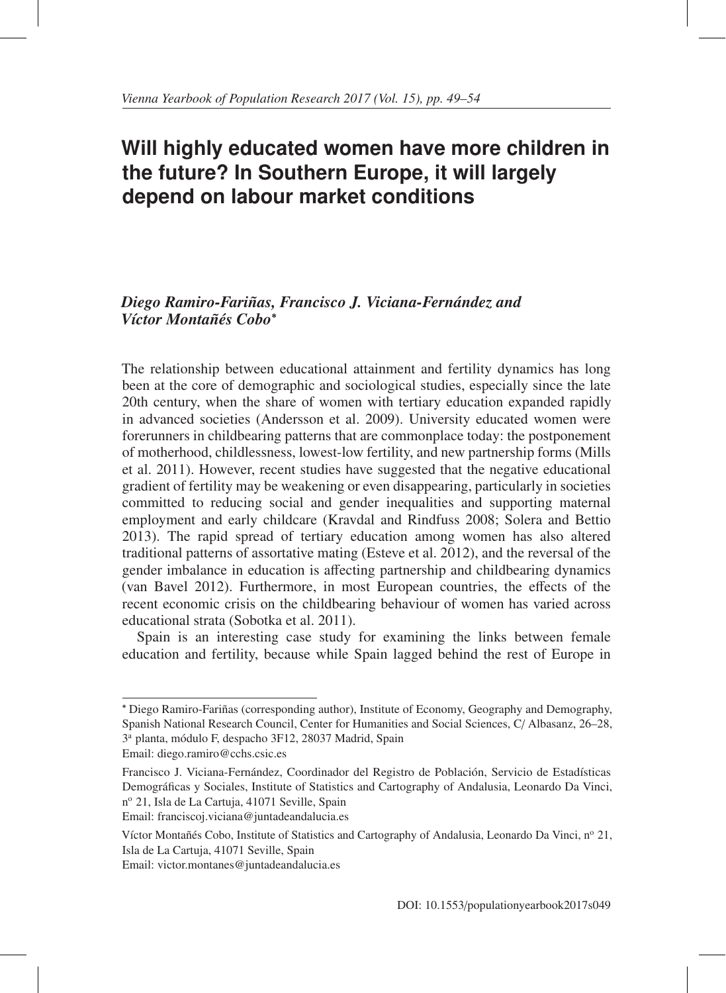# **Will highly educated women have more children in the future? In Southern Europe, it will largely depend on labour market conditions**

## *Diego Ramiro-Fariñas, Francisco J. Viciana-Fernández and Víctor Montañés Cobo<sup>\*</sup>*

The relationship between educational attainment and fertility dynamics has long been at the core of demographic and sociological studies, especially since the late 20th century, when the share of women with tertiary education expanded rapidly in advanced societies (Andersson et al. 2009). University educated women were forerunners in childbearing patterns that are commonplace today: the postponement of motherhood, childlessness, lowest-low fertility, and new partnership forms (Mills et al. 2011). However, recent studies have suggested that the negative educational gradient of fertility may be weakening or even disappearing, particularly in societies committed to reducing social and gender inequalities and supporting maternal employment and early childcare (Kravdal and Rindfuss 2008; Solera and Bettio 2013). The rapid spread of tertiary education among women has also altered traditional patterns of assortative mating (Esteve et al. 2012), and the reversal of the gender imbalance in education is affecting partnership and childbearing dynamics (van Bavel 2012). Furthermore, in most European countries, the effects of the recent economic crisis on the childbearing behaviour of women has varied across educational strata (Sobotka et al. 2011).

Spain is an interesting case study for examining the links between female education and fertility, because while Spain lagged behind the rest of Europe in

<sup>∗</sup> Diego Ramiro-Farinas (corresponding author), Institute of Economy, Geography and Demography, ˜ Spanish National Research Council, Center for Humanities and Social Sciences, C/ Albasanz, 26–28, 3a planta, modulo F, despacho 3F12, 28037 Madrid, Spain ´

Email: diego.ramiro@cchs.csic.es

Francisco J. Viciana-Fernández, Coordinador del Registro de Población, Servicio de Estadísticas Demograficas y Sociales, Institute of Statistics and Cartography of Andalusia, Leonardo Da Vinci, ´ nº 21, Isla de La Cartuja, 41071 Seville, Spain Email: franciscoj.viciana@juntadeandalucia.es

Víctor Montañés Cobo, Institute of Statistics and Cartography of Andalusia, Leonardo Da Vinci, nº 21, Isla de La Cartuja, 41071 Seville, Spain

Email: victor.montanes@juntadeandalucia.es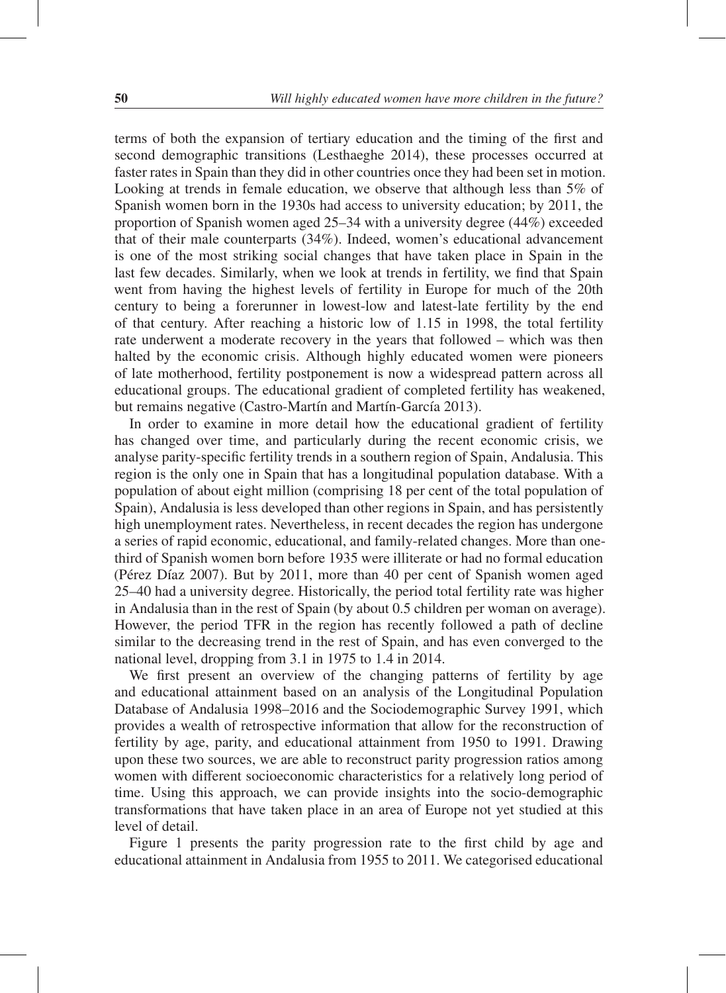terms of both the expansion of tertiary education and the timing of the first and second demographic transitions (Lesthaeghe 2014), these processes occurred at faster rates in Spain than they did in other countries once they had been set in motion. Looking at trends in female education, we observe that although less than 5% of Spanish women born in the 1930s had access to university education; by 2011, the proportion of Spanish women aged 25–34 with a university degree (44%) exceeded that of their male counterparts (34%). Indeed, women's educational advancement is one of the most striking social changes that have taken place in Spain in the last few decades. Similarly, when we look at trends in fertility, we find that Spain went from having the highest levels of fertility in Europe for much of the 20th century to being a forerunner in lowest-low and latest-late fertility by the end of that century. After reaching a historic low of 1.15 in 1998, the total fertility rate underwent a moderate recovery in the years that followed – which was then halted by the economic crisis. Although highly educated women were pioneers of late motherhood, fertility postponement is now a widespread pattern across all educational groups. The educational gradient of completed fertility has weakened, but remains negative (Castro-Martín and Martín-García 2013).

In order to examine in more detail how the educational gradient of fertility has changed over time, and particularly during the recent economic crisis, we analyse parity-specific fertility trends in a southern region of Spain, Andalusia. This region is the only one in Spain that has a longitudinal population database. With a population of about eight million (comprising 18 per cent of the total population of Spain), Andalusia is less developed than other regions in Spain, and has persistently high unemployment rates. Nevertheless, in recent decades the region has undergone a series of rapid economic, educational, and family-related changes. More than onethird of Spanish women born before 1935 were illiterate or had no formal education (Pérez Díaz 2007). But by 2011, more than 40 per cent of Spanish women aged 25–40 had a university degree. Historically, the period total fertility rate was higher in Andalusia than in the rest of Spain (by about 0.5 children per woman on average). However, the period TFR in the region has recently followed a path of decline similar to the decreasing trend in the rest of Spain, and has even converged to the national level, dropping from 3.1 in 1975 to 1.4 in 2014.

We first present an overview of the changing patterns of fertility by age and educational attainment based on an analysis of the Longitudinal Population Database of Andalusia 1998–2016 and the Sociodemographic Survey 1991, which provides a wealth of retrospective information that allow for the reconstruction of fertility by age, parity, and educational attainment from 1950 to 1991. Drawing upon these two sources, we are able to reconstruct parity progression ratios among women with different socioeconomic characteristics for a relatively long period of time. Using this approach, we can provide insights into the socio-demographic transformations that have taken place in an area of Europe not yet studied at this level of detail.

Figure 1 presents the parity progression rate to the first child by age and educational attainment in Andalusia from 1955 to 2011. We categorised educational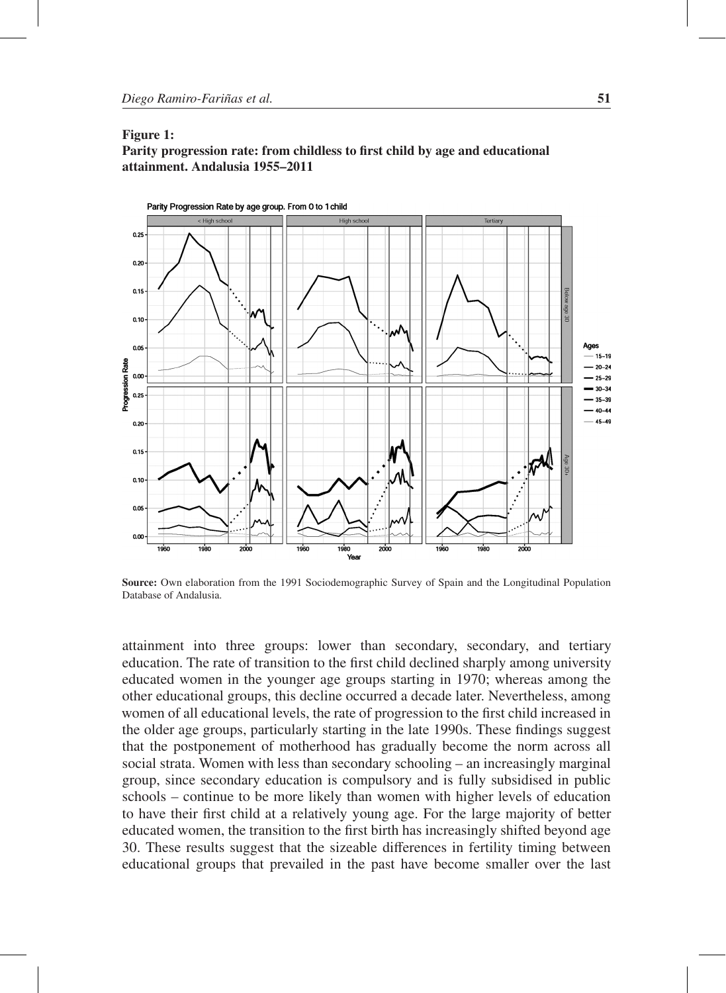#### Figure 1:

Parity progression rate: from childless to first child by age and educational attainment. Andalusia 1955–2011



Source: Own elaboration from the 1991 Sociodemographic Survey of Spain and the Longitudinal Population Database of Andalusia.

attainment into three groups: lower than secondary, secondary, and tertiary education. The rate of transition to the first child declined sharply among university educated women in the younger age groups starting in 1970; whereas among the other educational groups, this decline occurred a decade later. Nevertheless, among women of all educational levels, the rate of progression to the first child increased in the older age groups, particularly starting in the late 1990s. These findings suggest that the postponement of motherhood has gradually become the norm across all social strata. Women with less than secondary schooling – an increasingly marginal group, since secondary education is compulsory and is fully subsidised in public schools – continue to be more likely than women with higher levels of education to have their first child at a relatively young age. For the large majority of better educated women, the transition to the first birth has increasingly shifted beyond age 30. These results suggest that the sizeable differences in fertility timing between educational groups that prevailed in the past have become smaller over the last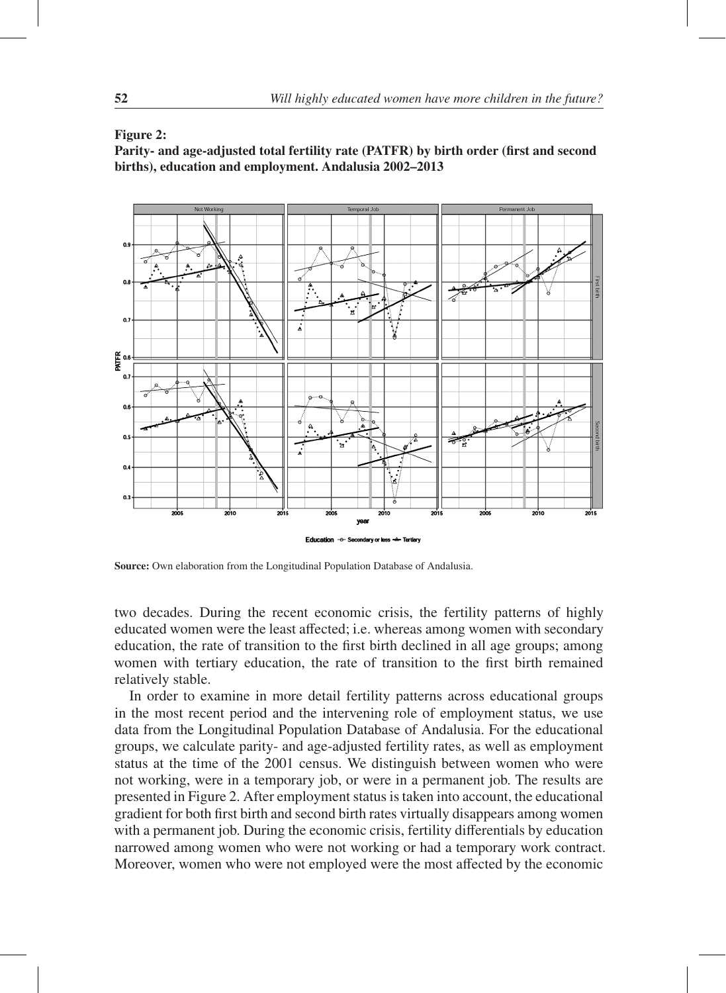### Figure 2:



Parity- and age-adjusted total fertility rate (PATFR) by birth order (first and second births), education and employment. Andalusia 2002–2013

Source: Own elaboration from the Longitudinal Population Database of Andalusia.

two decades. During the recent economic crisis, the fertility patterns of highly educated women were the least affected; i.e. whereas among women with secondary education, the rate of transition to the first birth declined in all age groups; among women with tertiary education, the rate of transition to the first birth remained relatively stable.

In order to examine in more detail fertility patterns across educational groups in the most recent period and the intervening role of employment status, we use data from the Longitudinal Population Database of Andalusia. For the educational groups, we calculate parity- and age-adjusted fertility rates, as well as employment status at the time of the 2001 census. We distinguish between women who were not working, were in a temporary job, or were in a permanent job. The results are presented in Figure 2. After employment status is taken into account, the educational gradient for both first birth and second birth rates virtually disappears among women with a permanent job. During the economic crisis, fertility differentials by education narrowed among women who were not working or had a temporary work contract. Moreover, women who were not employed were the most affected by the economic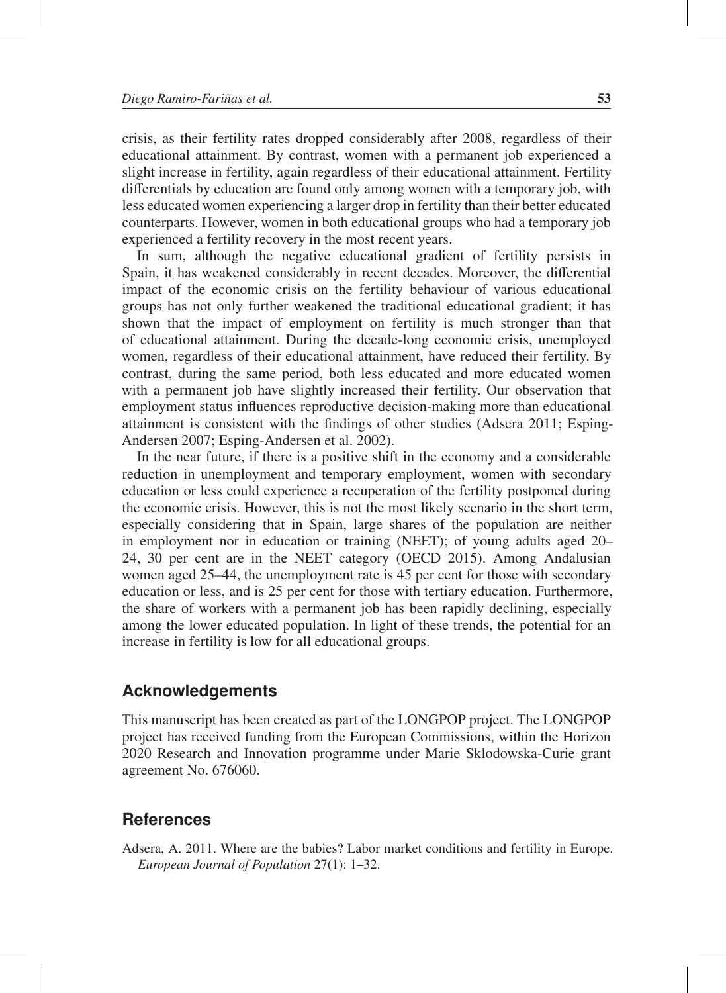crisis, as their fertility rates dropped considerably after 2008, regardless of their educational attainment. By contrast, women with a permanent job experienced a slight increase in fertility, again regardless of their educational attainment. Fertility differentials by education are found only among women with a temporary job, with less educated women experiencing a larger drop in fertility than their better educated counterparts. However, women in both educational groups who had a temporary job experienced a fertility recovery in the most recent years.

In sum, although the negative educational gradient of fertility persists in Spain, it has weakened considerably in recent decades. Moreover, the differential impact of the economic crisis on the fertility behaviour of various educational groups has not only further weakened the traditional educational gradient; it has shown that the impact of employment on fertility is much stronger than that of educational attainment. During the decade-long economic crisis, unemployed women, regardless of their educational attainment, have reduced their fertility. By contrast, during the same period, both less educated and more educated women with a permanent job have slightly increased their fertility. Our observation that employment status influences reproductive decision-making more than educational attainment is consistent with the findings of other studies (Adsera 2011; Esping-Andersen 2007; Esping-Andersen et al. 2002).

In the near future, if there is a positive shift in the economy and a considerable reduction in unemployment and temporary employment, women with secondary education or less could experience a recuperation of the fertility postponed during the economic crisis. However, this is not the most likely scenario in the short term, especially considering that in Spain, large shares of the population are neither in employment nor in education or training (NEET); of young adults aged 20– 24, 30 per cent are in the NEET category (OECD 2015). Among Andalusian women aged 25–44, the unemployment rate is 45 per cent for those with secondary education or less, and is 25 per cent for those with tertiary education. Furthermore, the share of workers with a permanent job has been rapidly declining, especially among the lower educated population. In light of these trends, the potential for an increase in fertility is low for all educational groups.

## **Acknowledgements**

This manuscript has been created as part of the LONGPOP project. The LONGPOP project has received funding from the European Commissions, within the Horizon 2020 Research and Innovation programme under Marie Sklodowska-Curie grant agreement No. 676060.

## **References**

Adsera, A. 2011. Where are the babies? Labor market conditions and fertility in Europe. *European Journal of Population* 27(1): 1–32.